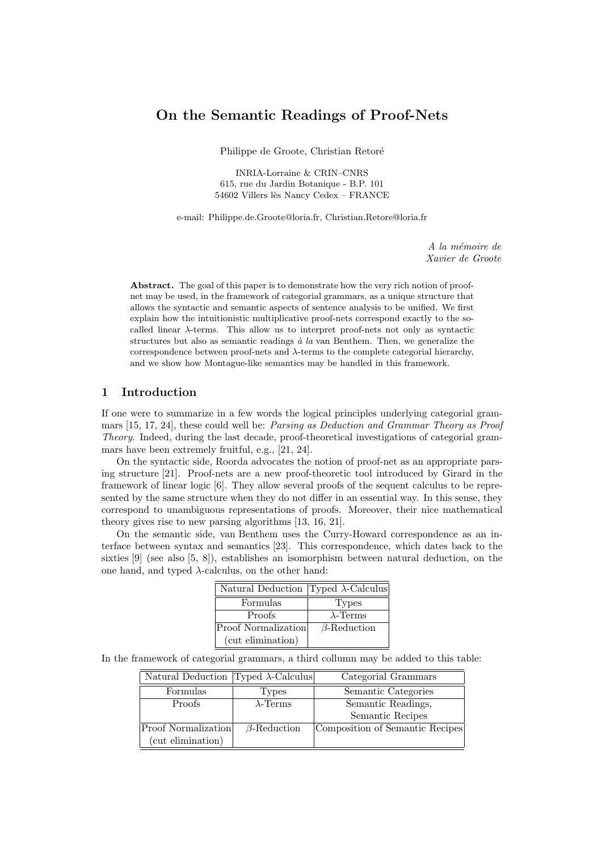# On the Semantic Readings of Proof-Nets

Philippe de Groote, Christian Retoré

INRIA-Lorraine & CRIN–CNRS 615, rue du Jardin Botanique - B.P. 101 54602 Villers lès Nancy Cedex – FRANCE

e-mail: Philippe.de.Groote@loria.fr, Christian.Retore@loria.fr

A la mémoire de Xavier de Groote

Abstract. The goal of this paper is to demonstrate how the very rich notion of proofnet may be used, in the framework of categorial grammars, as a unique structure that allows the syntactic and semantic aspects of sentence analysis to be unified. We first explain how the intuitionistic multiplicative proof-nets correspond exactly to the socalled linear  $\lambda$ -terms. This allow us to interpret proof-nets not only as syntactic structures but also as semantic readings  $\dot{a}$  la van Benthem. Then, we generalize the correspondence between proof-nets and  $\lambda$ -terms to the complete categorial hierarchy, and we show how Montague-like semantics may be handled in this framework.

## 1 Introduction

If one were to summarize in a few words the logical principles underlying categorial grammars [15, 17, 24], these could well be: Parsing as Deduction and Grammar Theory as Proof Theory. Indeed, during the last decade, proof-theoretical investigations of categorial grammars have been extremely fruitful, e.g., [21, 24].

On the syntactic side, Roorda advocates the notion of proof-net as an appropriate parsing structure [21]. Proof-nets are a new proof-theoretic tool introduced by Girard in the framework of linear logic [6]. They allow several proofs of the sequent calculus to be represented by the same structure when they do not differ in an essential way. In this sense, they correspond to unambiguous representations of proofs. Moreover, their nice mathematical theory gives rise to new parsing algorithms [13, 16, 21].

On the semantic side, van Benthem uses the Curry-Howard correspondence as an interface between syntax and semantics [23]. This correspondence, which dates back to the sixties [9] (see also [5, 8]), establishes an isomorphism between natural deduction, on the one hand, and typed  $\lambda$ -calculus, on the other hand:

| Natural Deduction Typed $\lambda$ -Calculus |                    |
|---------------------------------------------|--------------------|
| Formulas                                    | <b>Types</b>       |
| Proofs                                      | $\lambda$ -Terms   |
| <b>Proof Normalization</b>                  | $\beta$ -Reduction |
| (cut elimination)                           |                    |

In the framework of categorial grammars, a third collumn may be added to this table:

| Natural Deduction Typed $\lambda$ -Calculus |                    | Categorial Grammars             |
|---------------------------------------------|--------------------|---------------------------------|
| Formulas                                    | <b>Types</b>       | Semantic Categories             |
| Proofs                                      | $\lambda$ -Terms   | Semantic Readings,              |
|                                             |                    | Semantic Recipes                |
| <b>Proof Normalization</b>                  | $\beta$ -Reduction | Composition of Semantic Recipes |
| (cut elimination)                           |                    |                                 |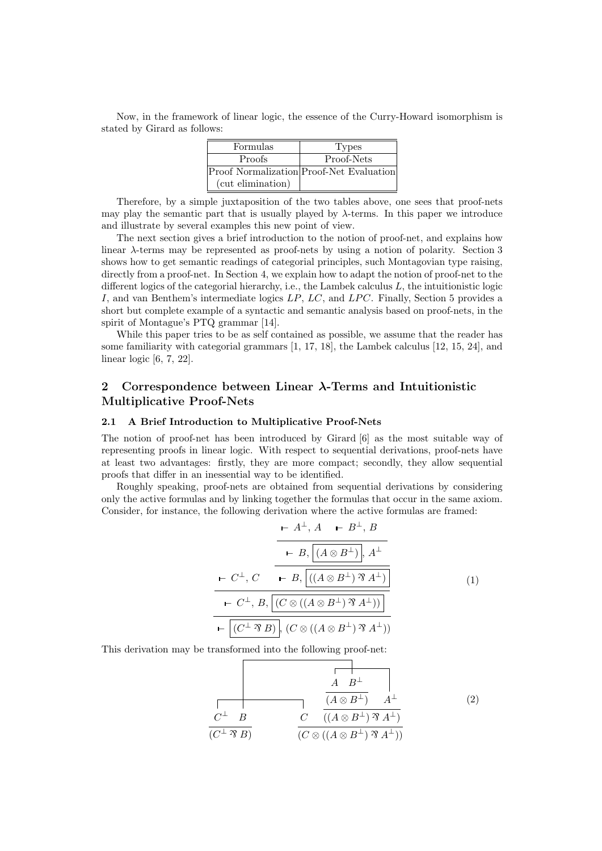Now, in the framework of linear logic, the essence of the Curry-Howard isomorphism is stated by Girard as follows:

| Formulas          | Types                                           |
|-------------------|-------------------------------------------------|
| Proofs            | Proof-Nets                                      |
|                   | <b>Proof Normalization</b> Proof-Net Evaluation |
| (cut elimination) |                                                 |

Therefore, by a simple juxtaposition of the two tables above, one sees that proof-nets may play the semantic part that is usually played by λ-terms. In this paper we introduce and illustrate by several examples this new point of view.

The next section gives a brief introduction to the notion of proof-net, and explains how linear  $\lambda$ -terms may be represented as proof-nets by using a notion of polarity. Section 3 shows how to get semantic readings of categorial principles, such Montagovian type raising, directly from a proof-net. In Section 4, we explain how to adapt the notion of proof-net to the different logics of the categorial hierarchy, i.e., the Lambek calculus  $L$ , the intuitionistic logic I, and van Benthem's intermediate logics  $LP$ ,  $LC$ , and  $LPC$ . Finally, Section 5 provides a short but complete example of a syntactic and semantic analysis based on proof-nets, in the spirit of Montague's PTQ grammar [14].

While this paper tries to be as self contained as possible, we assume that the reader has some familiarity with categorial grammars [1, 17, 18], the Lambek calculus [12, 15, 24], and linear logic [6, 7, 22].

## 2 Correspondence between Linear  $\lambda$ -Terms and Intuitionistic Multiplicative Proof-Nets

#### 2.1 A Brief Introduction to Multiplicative Proof-Nets

The notion of proof-net has been introduced by Girard [6] as the most suitable way of representing proofs in linear logic. With respect to sequential derivations, proof-nets have at least two advantages: firstly, they are more compact; secondly, they allow sequential proofs that differ in an inessential way to be identified.

Roughly speaking, proof-nets are obtained from sequential derivations by considering only the active formulas and by linking together the formulas that occur in the same axiom. Consider, for instance, the following derivation where the active formulas are framed:

$$
\begin{array}{ccc}\n & \xleftarrow{+} A^{+}, A & \xleftarrow{+} B^{\perp}, B \\
 & \xleftarrow{+} B, \boxed{(A \otimes B^{\perp})}, A^{\perp} \\
 & \xleftarrow{+} C^{\perp}, C & \xleftarrow{+} B, \boxed{((A \otimes B^{\perp}) \mathcal{R} A^{\perp})} \\
 & \xleftarrow{+} C^{\perp}, B, \boxed{(C \otimes ((A \otimes B^{\perp}) \mathcal{R} A^{\perp}))} \\
 & \xleftarrow{+} \boxed{(C^{\perp} \mathcal{R} B)}, (C \otimes ((A \otimes B^{\perp}) \mathcal{R} A^{\perp}))}\n\end{array} \tag{1}
$$

This derivation may be transformed into the following proof-net:

$$
\begin{array}{c|c}\n & A & B^{\perp} \\
\hline\nC^{\perp} & B & C & (A \otimes B^{\perp}) & A^{\perp} \\
\hline\n(C^{\perp} \mathcal{B}) & C & ((A \otimes B^{\perp}) \mathcal{B} A^{\perp}) \\
\hline\n(C \otimes ((A \otimes B^{\perp}) \mathcal{B} A^{\perp}))\n\end{array} (2)
$$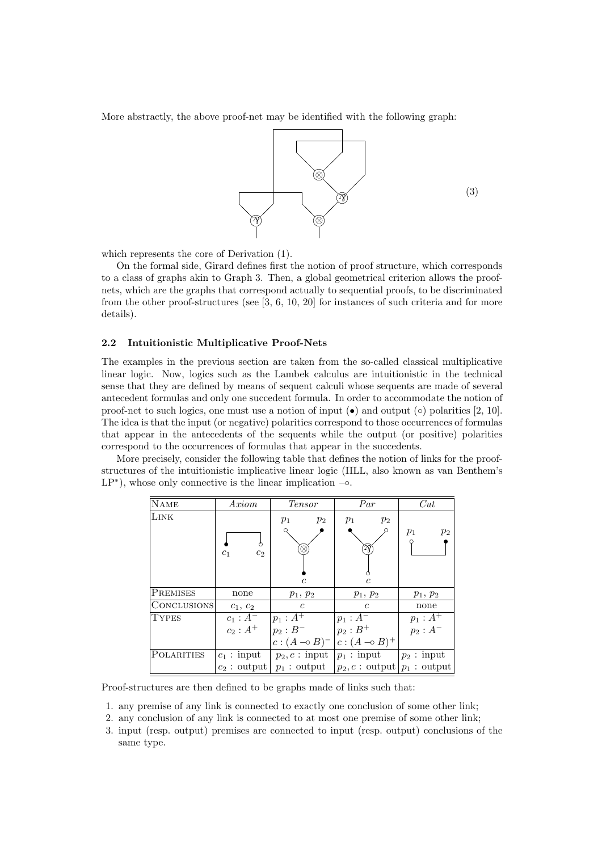More abstractly, the above proof-net may be identified with the following graph:



which represents the core of Derivation (1).

On the formal side, Girard defines first the notion of proof structure, which corresponds to a class of graphs akin to Graph 3. Then, a global geometrical criterion allows the proofnets, which are the graphs that correspond actually to sequential proofs, to be discriminated from the other proof-structures (see [3, 6, 10, 20] for instances of such criteria and for more details).

#### 2.2 Intuitionistic Multiplicative Proof-Nets

The examples in the previous section are taken from the so-called classical multiplicative linear logic. Now, logics such as the Lambek calculus are intuitionistic in the technical sense that they are defined by means of sequent calculi whose sequents are made of several antecedent formulas and only one succedent formula. In order to accommodate the notion of proof-net to such logics, one must use a notion of input  $\bullet$  and output ( $\circ$ ) polarities [2, 10]. The idea is that the input (or negative) polarities correspond to those occurrences of formulas that appear in the antecedents of the sequents while the output (or positive) polarities correspond to the occurrences of formulas that appear in the succedents.

More precisely, consider the following table that defines the notion of links for the proofstructures of the intuitionistic implicative linear logic (IILL, also known as van Benthem's  $LP^*$ ), whose only connective is the linear implication  $\sim$ .

| <b>NAME</b>        | Axiom                                 | <i>Tensor</i>        | Par                    | Cut             |
|--------------------|---------------------------------------|----------------------|------------------------|-----------------|
| LINK               |                                       | $p_2$<br>$p_1$       | $p_2$<br>$p_1$         |                 |
|                    |                                       |                      |                        | $p_1$<br>$p_2$  |
|                    | ∩<br>c <sub>2</sub><br>c <sub>1</sub> | ⊗                    | Ŋ                      |                 |
|                    |                                       |                      |                        |                 |
|                    |                                       | $\overline{c}$       | $\mathfrak c$          |                 |
| <b>PREMISES</b>    | none                                  | $p_1, p_2$           | $p_1, p_2$             | $p_1, p_2$      |
| <b>CONCLUSIONS</b> | $c_1, c_2$                            | $\epsilon$           | $\epsilon$             | none            |
| <b>TYPES</b>       | $c_1 : A^-$                           | $p_1 : A^+$          | $p_1 : A^-$            | $p_1 : A^+$     |
|                    | $c_2 : A^+$                           | $p_2 : B^-$          | $p_2:B^+$              | $p_2$ : $A^-\,$ |
|                    |                                       | $c:(A\multimap B)^-$ | $c:(A\multimap B)^{+}$ |                 |
| POLARITIES         | $c_1$ : input                         | $p_2, c:$ input      | $p_1:$ input           | $p_2:$ input    |
|                    | $c_2$ : output                        | $p_1$ : output       | $p_2, c:$ output       | $p_1$ : output  |

Proof-structures are then defined to be graphs made of links such that:

- 1. any premise of any link is connected to exactly one conclusion of some other link;
- 2. any conclusion of any link is connected to at most one premise of some other link;
- 3. input (resp. output) premises are connected to input (resp. output) conclusions of the same type.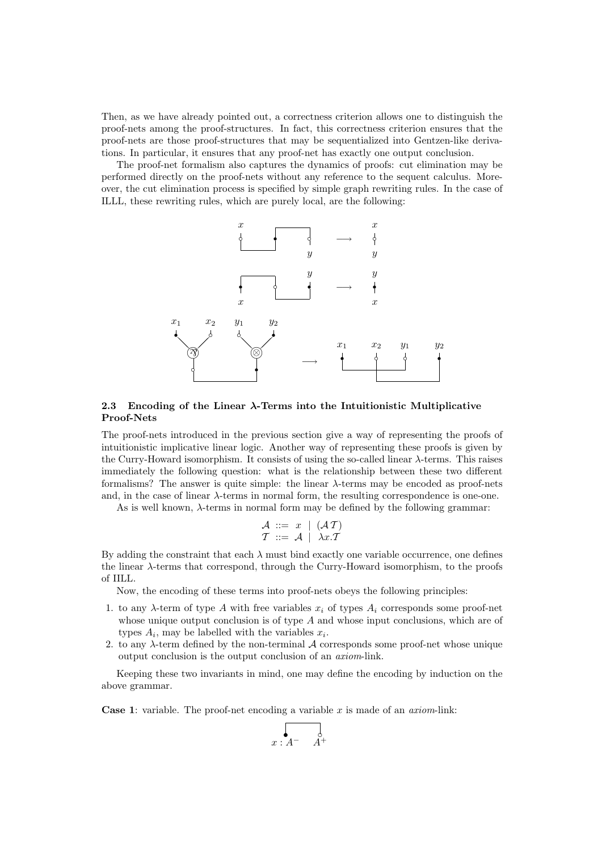Then, as we have already pointed out, a correctness criterion allows one to distinguish the proof-nets among the proof-structures. In fact, this correctness criterion ensures that the proof-nets are those proof-structures that may be sequentialized into Gentzen-like derivations. In particular, it ensures that any proof-net has exactly one output conclusion.

The proof-net formalism also captures the dynamics of proofs: cut elimination may be performed directly on the proof-nets without any reference to the sequent calculus. Moreover, the cut elimination process is specified by simple graph rewriting rules. In the case of ILLL, these rewriting rules, which are purely local, are the following:



### 2.3 Encoding of the Linear  $\lambda$ -Terms into the Intuitionistic Multiplicative Proof-Nets

The proof-nets introduced in the previous section give a way of representing the proofs of intuitionistic implicative linear logic. Another way of representing these proofs is given by the Curry-Howard isomorphism. It consists of using the so-called linear  $\lambda$ -terms. This raises immediately the following question: what is the relationship between these two different formalisms? The answer is quite simple: the linear  $\lambda$ -terms may be encoded as proof-nets and, in the case of linear  $\lambda$ -terms in normal form, the resulting correspondence is one-one.

As is well known,  $\lambda$ -terms in normal form may be defined by the following grammar:

$$
\begin{array}{c}\nA ::= x \mid (\mathcal{A}\mathcal{T}) \\
\mathcal{T} ::= \mathcal{A} \mid \lambda x.\mathcal{T}\n\end{array}
$$

By adding the constraint that each  $\lambda$  must bind exactly one variable occurrence, one defines the linear λ-terms that correspond, through the Curry-Howard isomorphism, to the proofs of IILL.

Now, the encoding of these terms into proof-nets obeys the following principles:

- 1. to any  $\lambda$ -term of type A with free variables  $x_i$  of types  $A_i$  corresponds some proof-net whose unique output conclusion is of type A and whose input conclusions, which are of types  $A_i$ , may be labelled with the variables  $x_i$ .
- 2. to any  $\lambda$ -term defined by the non-terminal  $\mathcal A$  corresponds some proof-net whose unique output conclusion is the output conclusion of an axiom-link.

Keeping these two invariants in mind, one may define the encoding by induction on the above grammar.

**Case 1:** variable. The proof-net encoding a variable  $x$  is made of an *axiom*-link:

$$
\begin{array}{cc}\n & \circ \\
 & x:A^- & A^+\n\end{array}
$$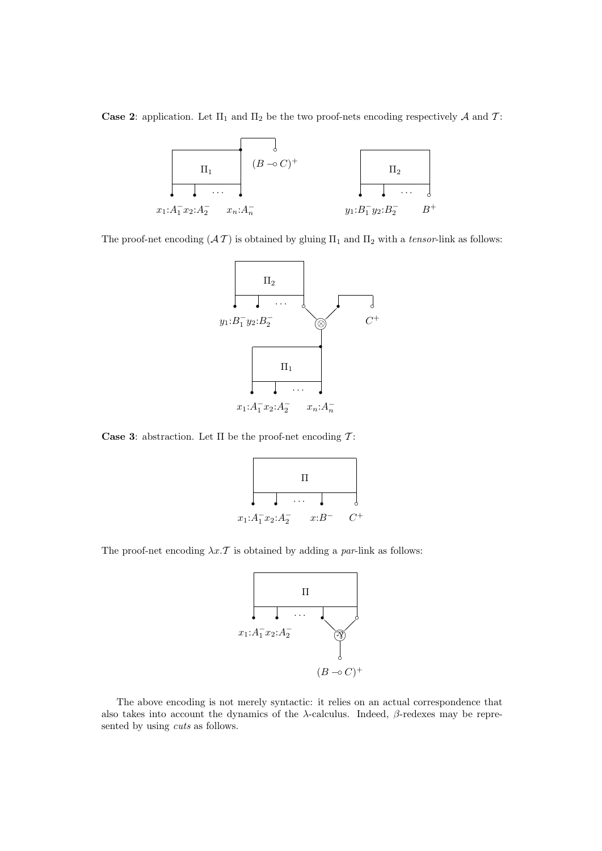Case 2: application. Let  $\Pi_1$  and  $\Pi_2$  be the two proof-nets encoding respectively A and T:



The proof-net encoding  $(AT)$  is obtained by gluing  $\Pi_1$  and  $\Pi_2$  with a tensor-link as follows:



Case 3: abstraction. Let  $\Pi$  be the proof-net encoding  $\mathcal{T}$ :



The proof-net encoding  $\lambda x$ . T is obtained by adding a par-link as follows:



The above encoding is not merely syntactic: it relies on an actual correspondence that also takes into account the dynamics of the  $\lambda$ -calculus. Indeed,  $\beta$ -redexes may be represented by using cuts as follows.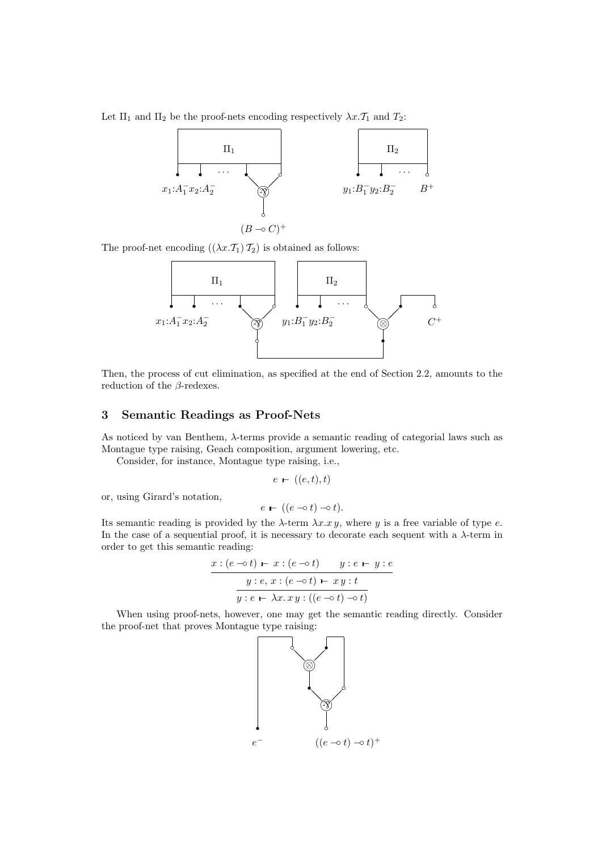Let  $\Pi_1$  and  $\Pi_2$  be the proof-nets encoding respectively  $\lambda x.\mathcal{T}_1$  and  $\mathcal{T}_2$ :



The proof-net encoding  $((\lambda x.\mathcal{T}_1)\mathcal{T}_2)$  is obtained as follows:



Then, the process of cut elimination, as specified at the end of Section 2.2, amounts to the reduction of the  $\beta$ -redexes.

## 3 Semantic Readings as Proof-Nets

As noticed by van Benthem, λ-terms provide a semantic reading of categorial laws such as Montague type raising, Geach composition, argument lowering, etc.

Consider, for instance, Montague type raising, i.e.,

$$
e - ((e, t), t)
$$

or, using Girard's notation,

$$
e - ((e - \circ t) - \circ t).
$$

Its semantic reading is provided by the  $\lambda$ -term  $\lambda x . x y$ , where y is a free variable of type e. In the case of a sequential proof, it is necessary to decorate each sequent with a  $\lambda$ -term in order to get this semantic reading:

$$
\begin{array}{c}\n\overline{x:(e \multimap t) \vdash x:(e \multimap t) \quad y:e \vdash y:e} \\
\hline\n\overline{y:e, x:(e \multimap t) \vdash xy:t} \\
\overline{y:e \vdash \lambda x.xy:((e \multimap t) \multimap t)}\n\end{array}
$$

When using proof-nets, however, one may get the semantic reading directly. Consider the proof-net that proves Montague type raising:

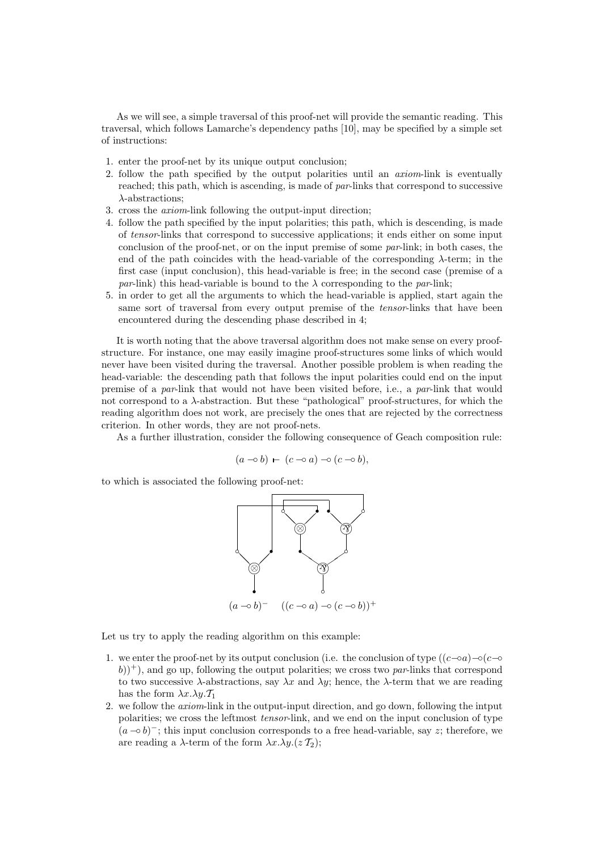As we will see, a simple traversal of this proof-net will provide the semantic reading. This traversal, which follows Lamarche's dependency paths [10], may be specified by a simple set of instructions:

- 1. enter the proof-net by its unique output conclusion;
- 2. follow the path specified by the output polarities until an axiom-link is eventually reached; this path, which is ascending, is made of par-links that correspond to successive λ-abstractions;
- 3. cross the axiom-link following the output-input direction;
- 4. follow the path specified by the input polarities; this path, which is descending, is made of tensor-links that correspond to successive applications; it ends either on some input conclusion of the proof-net, or on the input premise of some par-link; in both cases, the end of the path coincides with the head-variable of the corresponding  $\lambda$ -term; in the first case (input conclusion), this head-variable is free; in the second case (premise of a par-link) this head-variable is bound to the  $\lambda$  corresponding to the par-link;
- 5. in order to get all the arguments to which the head-variable is applied, start again the same sort of traversal from every output premise of the *tensor*-links that have been encountered during the descending phase described in 4;

It is worth noting that the above traversal algorithm does not make sense on every proofstructure. For instance, one may easily imagine proof-structures some links of which would never have been visited during the traversal. Another possible problem is when reading the head-variable: the descending path that follows the input polarities could end on the input premise of a par-link that would not have been visited before, i.e., a par-link that would not correspond to a λ-abstraction. But these "pathological" proof-structures, for which the reading algorithm does not work, are precisely the ones that are rejected by the correctness criterion. In other words, they are not proof-nets.

As a further illustration, consider the following consequence of Geach composition rule:

$$
(a \neg o b) \rightharpoonup (c \neg o a) \neg o (c \neg o b),
$$

to which is associated the following proof-net:



Let us try to apply the reading algorithm on this example:

- 1. we enter the proof-net by its output conclusion (i.e. the conclusion of type  $((c−₀a)−₀(c−₀$  $(b))^+$ ), and go up, following the output polarities; we cross two par-links that correspond to two successive  $\lambda$ -abstractions, say  $\lambda x$  and  $\lambda y$ ; hence, the  $\lambda$ -term that we are reading has the form  $\lambda x.\lambda y.\mathcal{T}_1$
- 2. we follow the axiom-link in the output-input direction, and go down, following the intput polarities; we cross the leftmost tensor-link, and we end on the input conclusion of type  $(a \neg b)^{-}$ ; this input conclusion corresponds to a free head-variable, say z; therefore, we are reading a  $\lambda$ -term of the form  $\lambda x.\lambda y.(z \mathcal{T}_2);$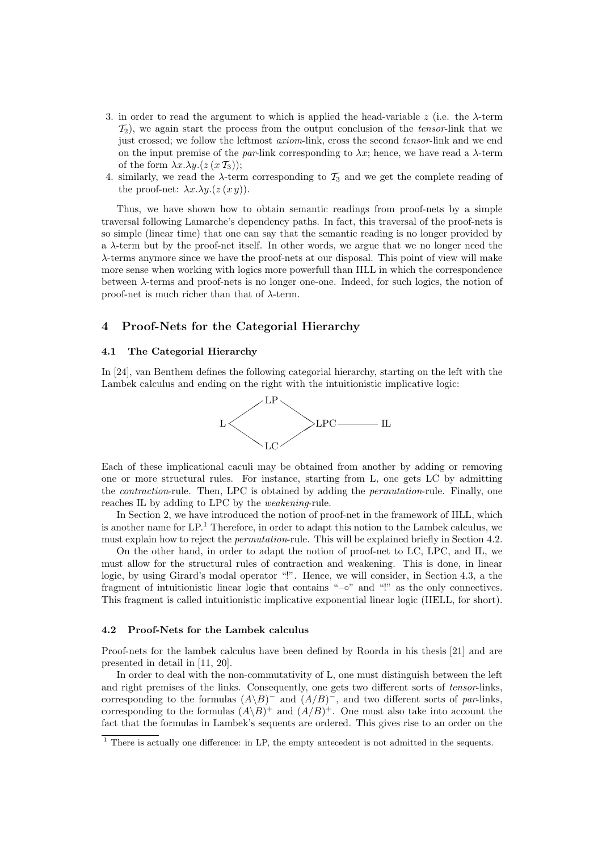- 3. in order to read the argument to which is applied the head-variable z (i.e. the  $\lambda$ -term  $\mathcal{T}_2$ ), we again start the process from the output conclusion of the tensor-link that we just crossed; we follow the leftmost *axiom*-link, cross the second *tensor*-link and we end on the input premise of the par-link corresponding to  $\lambda x$ ; hence, we have read a  $\lambda$ -term of the form  $\lambda x.\lambda y.(z(x \mathcal{T}_3))$ ;
- 4. similarly, we read the  $\lambda$ -term corresponding to  $\mathcal{T}_3$  and we get the complete reading of the proof-net:  $\lambda x.\lambda y.(z(x y)).$

Thus, we have shown how to obtain semantic readings from proof-nets by a simple traversal following Lamarche's dependency paths. In fact, this traversal of the proof-nets is so simple (linear time) that one can say that the semantic reading is no longer provided by a  $\lambda$ -term but by the proof-net itself. In other words, we argue that we no longer need the λ-terms anymore since we have the proof-nets at our disposal. This point of view will make more sense when working with logics more powerfull than IILL in which the correspondence between λ-terms and proof-nets is no longer one-one. Indeed, for such logics, the notion of proof-net is much richer than that of  $\lambda$ -term.

### 4 Proof-Nets for the Categorial Hierarchy

#### 4.1 The Categorial Hierarchy

In [24], van Benthem defines the following categorial hierarchy, starting on the left with the Lambek calculus and ending on the right with the intuitionistic implicative logic:



Each of these implicational caculi may be obtained from another by adding or removing one or more structural rules. For instance, starting from L, one gets LC by admitting the contraction-rule. Then, LPC is obtained by adding the permutation-rule. Finally, one reaches IL by adding to LPC by the weakening-rule.

In Section 2, we have introduced the notion of proof-net in the framework of IILL, which is another name for  $LP<sup>1</sup>$ . Therefore, in order to adapt this notion to the Lambek calculus, we must explain how to reject the permutation-rule. This will be explained briefly in Section 4.2.

On the other hand, in order to adapt the notion of proof-net to LC, LPC, and IL, we must allow for the structural rules of contraction and weakening. This is done, in linear logic, by using Girard's modal operator "!". Hence, we will consider, in Section 4.3, a the fragment of intuitionistic linear logic that contains "−◦" and "!" as the only connectives. This fragment is called intuitionistic implicative exponential linear logic (IIELL, for short).

#### 4.2 Proof-Nets for the Lambek calculus

Proof-nets for the lambek calculus have been defined by Roorda in his thesis [21] and are presented in detail in [11, 20].

In order to deal with the non-commutativity of L, one must distinguish between the left and right premises of the links. Consequently, one gets two different sorts of tensor-links, corresponding to the formulas  $(A \ B)^-$  and  $(A/B)^-$ , and two different sorts of par-links, corresponding to the formulas  $(A \ B)^+$  and  $(A/B)^+$ . One must also take into account the fact that the formulas in Lambek's sequents are ordered. This gives rise to an order on the

<sup>&</sup>lt;sup>1</sup> There is actually one difference: in LP, the empty antecedent is not admitted in the sequents.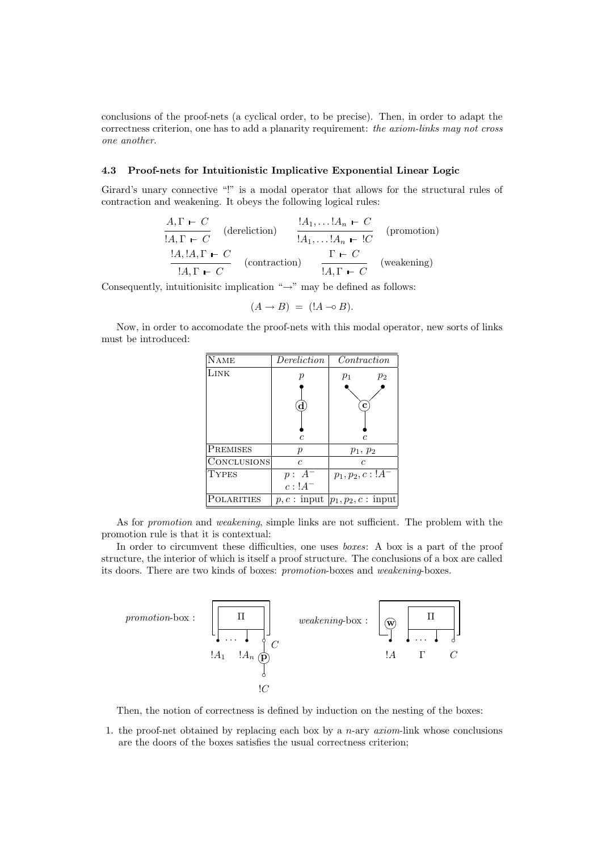conclusions of the proof-nets (a cyclical order, to be precise). Then, in order to adapt the correctness criterion, one has to add a planarity requirement: the axiom-links may not cross one another.

### 4.3 Proof-nets for Intuitionistic Implicative Exponential Linear Logic

Girard's unary connective "!" is a modal operator that allows for the structural rules of contraction and weakening. It obeys the following logical rules:

$$
\frac{A, \Gamma \vdash C}{!A, \Gamma \vdash C} \quad (\text{dereliction}) \qquad \frac{!A_1, \dots !A_n \vdash C}{!A_1, \dots !A_n \vdash !C} \quad (\text{promotion})
$$
\n
$$
\frac{!A, !A, \Gamma \vdash C}{!A, \Gamma \vdash C} \quad (\text{contraction}) \qquad \frac{\Gamma \vdash C}{!A, \Gamma \vdash C} \quad (\text{weakening})
$$

Consequently, intuitionisitc implication " $\rightarrow$ " may be defined as follows:

$$
(A \rightarrow B) = (A \rightarrow B).
$$

Now, in order to accomodate the proof-nets with this modal operator, new sorts of links must be introduced:

| <b>NAME</b>     | Dereliction          | $\mathit{Contraction}$        |
|-----------------|----------------------|-------------------------------|
| Link            | р                    | $p_1$<br>$p_2$                |
|                 |                      |                               |
|                 |                      | с                             |
|                 |                      |                               |
|                 |                      |                               |
|                 | C                    | C                             |
| <b>PREMISES</b> | $\boldsymbol{p}$     | $p_1, p_2$                    |
| CONCLUSIONS     | C.                   | C                             |
| <b>TYPES</b>    | $p: A^-$             | $p_1, p_2, c: 1A^-$           |
|                 | $c:1A^-$             |                               |
| POLARITIES      | $p, c: \text{input}$ | $ p_1, p_2, c: \text{input} $ |

As for promotion and weakening, simple links are not sufficient. The problem with the promotion rule is that it is contextual:

In order to circumvent these difficulties, one uses *boxes*: A box is a part of the proof structure, the interior of which is itself a proof structure. The conclusions of a box are called its doors. There are two kinds of boxes: promotion-boxes and weakening-boxes.



Then, the notion of correctness is defined by induction on the nesting of the boxes:

1. the proof-net obtained by replacing each box by a  $n$ -ary  $axiom$ -link whose conclusions are the doors of the boxes satisfies the usual correctness criterion;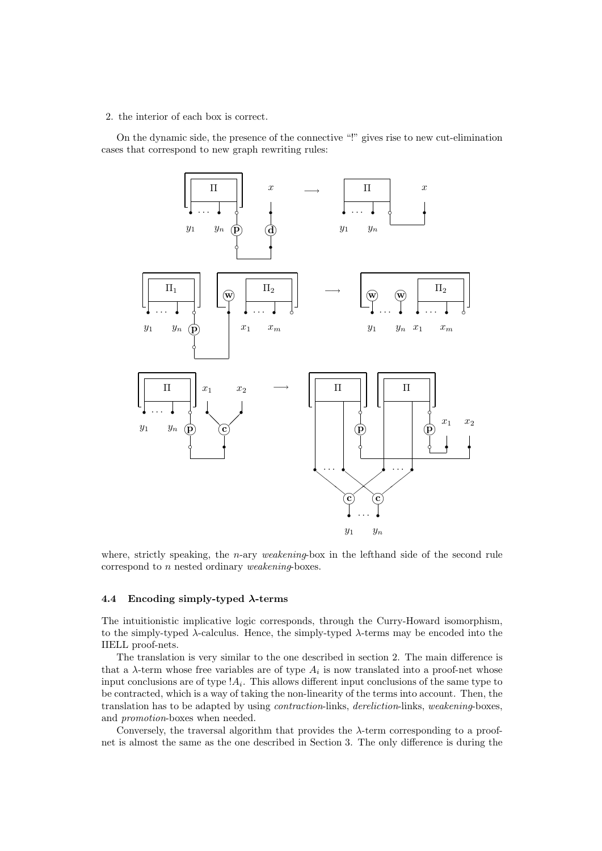### 2. the interior of each box is correct.

On the dynamic side, the presence of the connective "!" gives rise to new cut-elimination cases that correspond to new graph rewriting rules:



where, strictly speaking, the *n*-ary *weakening*-box in the lefthand side of the second rule correspond to n nested ordinary weakening-boxes.

#### 4.4 Encoding simply-typed  $\lambda$ -terms

The intuitionistic implicative logic corresponds, through the Curry-Howard isomorphism, to the simply-typed  $\lambda$ -calculus. Hence, the simply-typed  $\lambda$ -terms may be encoded into the IIELL proof-nets.

The translation is very similar to the one described in section 2. The main difference is that a  $\lambda$ -term whose free variables are of type  $A_i$  is now translated into a proof-net whose input conclusions are of type  $!A_i$ . This allows different input conclusions of the same type to be contracted, which is a way of taking the non-linearity of the terms into account. Then, the translation has to be adapted by using contraction-links, dereliction-links, weakening-boxes, and promotion-boxes when needed.

Conversely, the traversal algorithm that provides the  $\lambda$ -term corresponding to a proofnet is almost the same as the one described in Section 3. The only difference is during the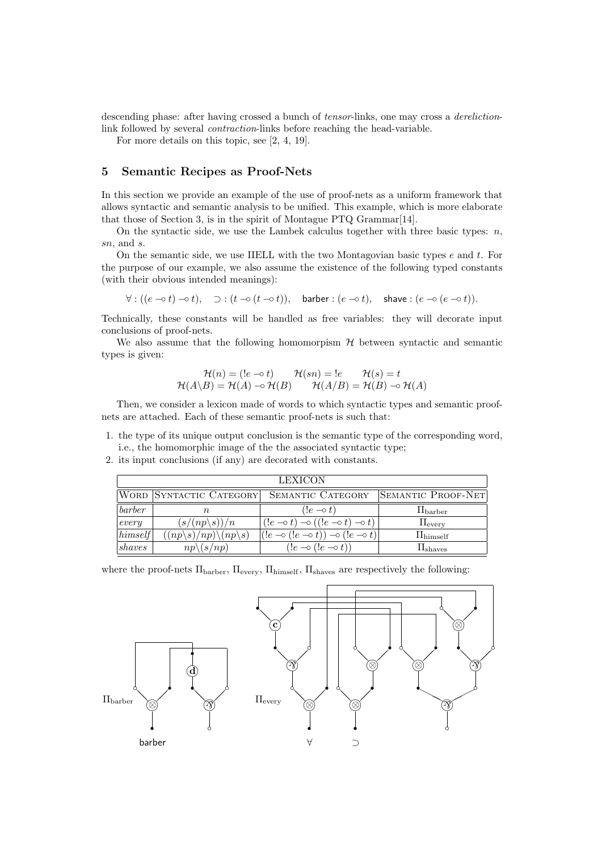descending phase: after having crossed a bunch of *tensor*-links, one may cross a *dereliction*link followed by several contraction-links before reaching the head-variable.

For more details on this topic, see [2, 4, 19].

## 5 Semantic Recipes as Proof-Nets

In this section we provide an example of the use of proof-nets as a uniform framework that allows syntactic and semantic analysis to be unified. This example, which is more elaborate that those of Section 3, is in the spirit of Montague PTQ Grammar[14].

On the syntactic side, we use the Lambek calculus together with three basic types:  $n$ , sn, and s.

On the semantic side, we use IIELL with the two Montagovian basic types  $e$  and  $t$ . For the purpose of our example, we also assume the existence of the following typed constants (with their obvious intended meanings):

 $\forall : ((e \neg o t) \neg o t), \quad \supset : (t \neg o (t \neg o t)), \quad \text{barber} : (e \neg o t), \quad \text{shape} : (e \neg o (e \neg o t)).$ 

Technically, these constants will be handled as free variables: they will decorate input conclusions of proof-nets.

We also assume that the following homomorpism  $H$  between syntactic and semantic types is given:

$$
\mathcal{H}(n) = (!e \multimap t) \qquad \mathcal{H}(sn) = !e \qquad \mathcal{H}(s) = t
$$
  

$$
\mathcal{H}(A \setminus B) = \mathcal{H}(A) \multimap \mathcal{H}(B) \qquad \mathcal{H}(A/B) = \mathcal{H}(B) \multimap \mathcal{H}(A)
$$

Then, we consider a lexicon made of words to which syntactic types and semantic proofnets are attached. Each of these semantic proof-nets is such that:

- 1. the type of its unique output conclusion is the semantic type of the corresponding word, i.e., the homomorphic image of the the associated syntactic type;
- 2. its input conclusions (if any) are decorated with constants.

| <b>LEXICON</b> |                                                   |                                                                     |                       |
|----------------|---------------------------------------------------|---------------------------------------------------------------------|-----------------------|
|                | WORD SYNTACTIC CATEGORY                           | SEMANTIC CATEGORY                                                   | SEMANTIC PROOF-NET    |
| barber         | n                                                 | $(!e \rightarrow t)$                                                | $\rm H_{bar}$         |
| every          | $(s/(np\backslash s))/n$                          | $(!e \rightarrow t) \rightarrow ((!e \rightarrow t) \rightarrow t)$ | $\Pi_{\text{every}}$  |
| himself        | $(np\backslash s)/np \backslash (np\backslash s)$ | $ (e \neg o (e \neg o t)) \neg o (e \neg o t) $                     | $\rm H_{himself}$     |
| shaves         | $np\geqslant(s(np)$                               | $(!e \multimap (!e \multimap t))$                                   | - <sup>1</sup> shaves |

where the proof-nets  $\Pi_{\text{barber}}$ ,  $\Pi_{\text{every}}$ ,  $\Pi_{\text{himself}}$ ,  $\Pi_{\text{shaves}}$  are respectively the following:

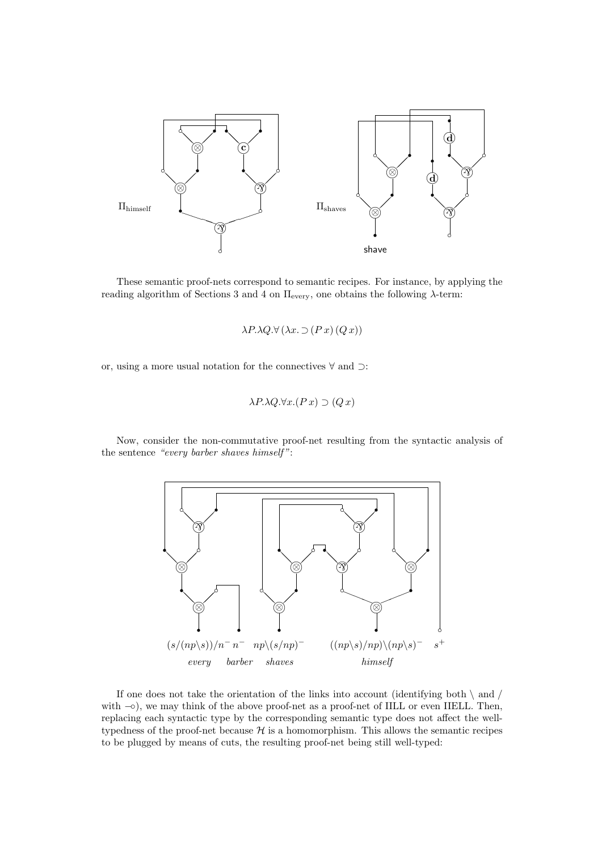

These semantic proof-nets correspond to semantic recipes. For instance, by applying the reading algorithm of Sections 3 and 4 on  $\Pi$ <sub>every</sub>, one obtains the following λ-term:

 $\lambda P.\lambda Q.\forall (\lambda x.\supset (P x)(Q x))$ 

or, using a more usual notation for the connectives ∀ and ⊃:

$$
\lambda P \cdot \lambda Q \cdot \forall x . (P x) \supset (Q x)
$$

Now, consider the non-commutative proof-net resulting from the syntactic analysis of the sentence "every barber shaves himself ":



If one does not take the orientation of the links into account (identifying both  $\langle$  and  $/$ with  $\sim$ ), we may think of the above proof-net as a proof-net of IILL or even IIELL. Then, replacing each syntactic type by the corresponding semantic type does not affect the welltypedness of the proof-net because  $H$  is a homomorphism. This allows the semantic recipes to be plugged by means of cuts, the resulting proof-net being still well-typed: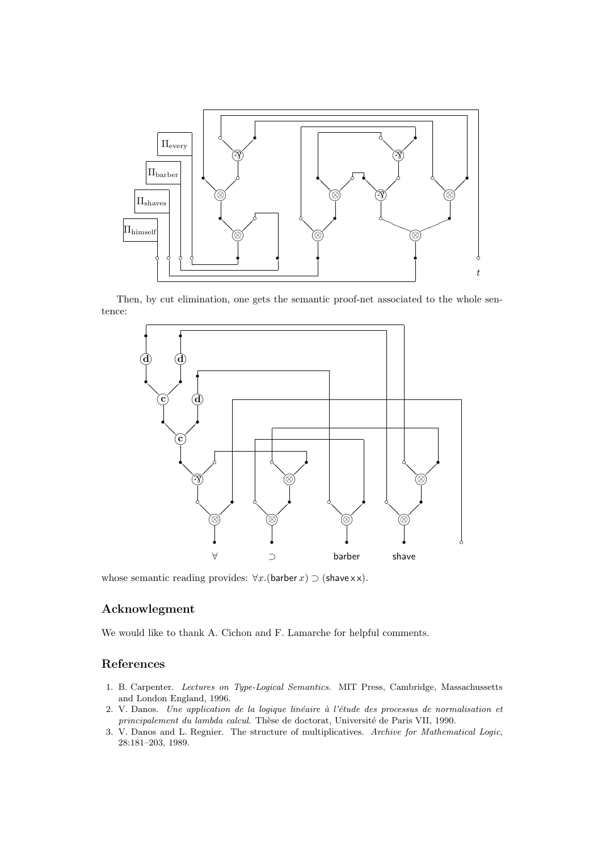

Then, by cut elimination, one gets the semantic proof-net associated to the whole sentence:



whose semantic reading provides:  $\forall x.$ (barber x)  $\supset$  (shave x x).

### Acknowlegment

We would like to thank A. Cichon and F. Lamarche for helpful comments.

## References

- 1. B. Carpenter. Lectures on Type-Logical Semantics. MIT Press, Cambridge, Massachussetts and London England, 1996.
- 2. V. Danos. Une application de la logique linéaire à l'étude des processus de normalisation et principalement du lambda calcul. Thèse de doctorat, Université de Paris VII, 1990.
- 3. V. Danos and L. Regnier. The structure of multiplicatives. Archive for Mathematical Logic, 28:181–203, 1989.